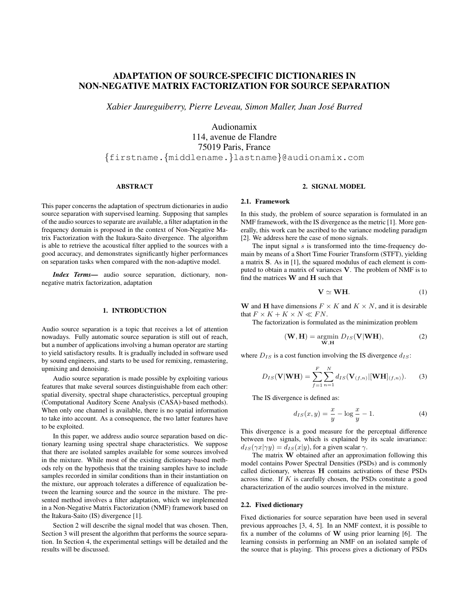# ADAPTATION OF SOURCE-SPECIFIC DICTIONARIES IN NON-NEGATIVE MATRIX FACTORIZATION FOR SOURCE SEPARATION

*Xabier Jaureguiberry, Pierre Leveau, Simon Maller, Juan Jose Burred ´*

Audionamix

114, avenue de Flandre 75019 Paris, France {firstname.{middlename.}lastname}@audionamix.com

# ABSTRACT

This paper concerns the adaptation of spectrum dictionaries in audio source separation with supervised learning. Supposing that samples of the audio sources to separate are available, a filter adaptation in the frequency domain is proposed in the context of Non-Negative Matrix Factorization with the Itakura-Saito divergence. The algorithm is able to retrieve the acoustical filter applied to the sources with a good accuracy, and demonstrates significantly higher performances on separation tasks when compared with the non-adaptive model.

*Index Terms*— audio source separation, dictionary, nonnegative matrix factorization, adaptation

### 1. INTRODUCTION

Audio source separation is a topic that receives a lot of attention nowadays. Fully automatic source separation is still out of reach, but a number of applications involving a human operator are starting to yield satisfactory results. It is gradually included in software used by sound engineers, and starts to be used for remixing, remastering, upmixing and denoising.

Audio source separation is made possible by exploiting various features that make several sources distinguishable from each other: spatial diversity, spectral shape characteristics, perceptual grouping (Computational Auditory Scene Analysis (CASA)-based methods). When only one channel is available, there is no spatial information to take into account. As a consequence, the two latter features have to be exploited.

In this paper, we address audio source separation based on dictionary learning using spectral shape characteristics. We suppose that there are isolated samples available for some sources involved in the mixture. While most of the existing dictionary-based methods rely on the hypothesis that the training samples have to include samples recorded in similar conditions than in their instantiation on the mixture, our approach tolerates a difference of equalization between the learning source and the source in the mixture. The presented method involves a filter adaptation, which we implemented in a Non-Negative Matrix Factorization (NMF) framework based on the Itakura-Saito (IS) divergence [1].

Section 2 will describe the signal model that was chosen. Then, Section 3 will present the algorithm that performs the source separation. In Section 4, the experimental settings will be detailed and the results will be discussed.

# 2. SIGNAL MODEL

### 2.1. Framework

In this study, the problem of source separation is formulated in an NMF framework, with the IS divergence as the metric [1]. More generally, this work can be ascribed to the variance modeling paradigm [2]. We address here the case of mono signals.

The input signal  $s$  is transformed into the time-frequency domain by means of a Short Time Fourier Transform (STFT), yielding a matrix S. As in [1], the squared modulus of each element is computed to obtain a matrix of variances V. The problem of NMF is to find the matrices W and H such that

$$
V \simeq WH. \tag{1}
$$

W and H have dimensions  $F \times K$  and  $K \times N$ , and it is desirable that  $F \times K + K \times N \ll FN$ .

The factorization is formulated as the minimization problem

$$
(\mathbf{W}, \mathbf{H}) = \underset{\mathbf{W}, \mathbf{H}}{\text{argmin}} D_{IS}(\mathbf{V}|\mathbf{W}\mathbf{H}),
$$
 (2)

where  $D_{IS}$  is a cost function involving the IS divergence  $d_{IS}$ :

$$
D_{IS}(\mathbf{V}|\mathbf{WH}) = \sum_{f=1}^{F} \sum_{n=1}^{N} d_{IS}(\mathbf{V}_{(f,n)}|[\mathbf{WH}]_{(f,n)}).
$$
 (3)

The IS divergence is defined as:

$$
d_{IS}(x, y) = \frac{x}{y} - \log \frac{x}{y} - 1.
$$
 (4)

This divergence is a good measure for the perceptual difference between two signals, which is explained by its scale invariance:  $d_{IS}(\gamma x|\gamma y) = d_{IS}(x|y)$ , for a given scalar  $\gamma$ .

The matrix W obtained after an approximation following this model contains Power Spectral Densities (PSDs) and is commonly called dictionary, whereas H contains activations of these PSDs across time. If K is carefully chosen, the PSDs constitute a good characterization of the audio sources involved in the mixture.

### 2.2. Fixed dictionary

Fixed dictionaries for source separation have been used in several previous approaches [3, 4, 5]. In an NMF context, it is possible to fix a number of the columns of  $W$  using prior learning [6]. The learning consists in performing an NMF on an isolated sample of the source that is playing. This process gives a dictionary of PSDs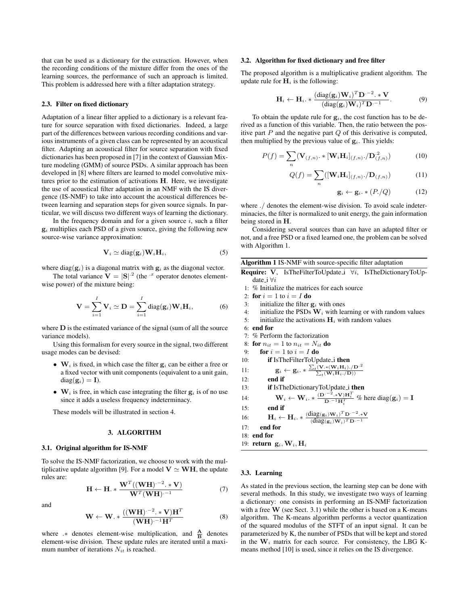that can be used as a dictionary for the extraction. However, when the recording conditions of the mixture differ from the ones of the learning sources, the performance of such an approach is limited. This problem is addressed here with a filter adaptation strategy.

### 2.3. Filter on fixed dictionary

Adaptation of a linear filter applied to a dictionary is a relevant feature for source separation with fixed dictionaries. Indeed, a large part of the differences between various recording conditions and various instruments of a given class can be represented by an acoustical filter. Adapting an acoustical filter for source separation with fixed dictionaries has been proposed in [7] in the context of Gaussian Mixture modeling (GMM) of source PSDs. A similar approach has been developed in [8] where filters are learned to model convolutive mixtures prior to the estimation of activations H. Here, we investigate the use of acoustical filter adaptation in an NMF with the IS divergence (IS-NMF) to take into account the acoustical differences between learning and separation steps for given source signals. In particular, we will discuss two different ways of learning the dictionary.

In the frequency domain and for a given source  $i$ , such a filter  $g_i$  multiplies each PSD of a given source, giving the following new source-wise variance approximation:

$$
\mathbf{V}_i \simeq \text{diag}(\mathbf{g}_i) \mathbf{W}_i \mathbf{H}_i, \tag{5}
$$

where diag( $g_i$ ) is a diagonal matrix with  $g_i$  as the diagonal vector.

The total variance  $V = |S|^{2}$  (the  $x$  operator denotes elementwise power) of the mixture being:

$$
\mathbf{V} = \sum_{i=1}^{I} \mathbf{V}_i \simeq \mathbf{D} = \sum_{i=1}^{I} \text{diag}(\mathbf{g}_i) \mathbf{W}_i \mathbf{H}_i, \tag{6}
$$

where  $D$  is the estimated variance of the signal (sum of all the source variance models).

Using this formalism for every source in the signal, two different usage modes can be devised:

- W<sub>i</sub> is fixed, in which case the filter  $g_i$  can be either a free or a fixed vector with unit components (equivalent to a unit gain,  $diag(\mathbf{g}_i) = \mathbf{I}$ ).
- $W_i$  is free, in which case integrating the filter  $g_i$  is of no use since it adds a useless frequency indeterminacy.

These models will be illustrated in section 4.

# 3. ALGORITHM

### 3.1. Original algorithm for IS-NMF

To solve the IS-NMF factorization, we choose to work with the multiplicative update algorithm [9]. For a model  $V \simeq WH$ , the update rules are:

$$
\mathbf{H} \leftarrow \mathbf{H} \cdot * \frac{\mathbf{W}^T((\mathbf{W}\mathbf{H})^{-2} \cdot * \mathbf{V})}{\mathbf{W}^T(\mathbf{W}\mathbf{H})^{-1}} \tag{7}
$$

and

$$
\mathbf{W} \leftarrow \mathbf{W}.\ast \frac{((\mathbf{W}\mathbf{H})^{-2}.\ast \mathbf{V})\mathbf{H}^T}{(\mathbf{W}\mathbf{H})^{-1}\mathbf{H}^T}
$$
(8)

where  $\cdot$  denotes element-wise multiplication, and  $\frac{A}{B}$  denotes element-wise division. These update rules are iterated until a maximum number of iterations  $N_{it}$  is reached.

### 3.2. Algorithm for fixed dictionary and free filter

The proposed algorithm is a multiplicative gradient algorithm. The update rule for  $H_i$  is the following:

$$
\mathbf{H}_{i} \leftarrow \mathbf{H}_{i} \cdot * \frac{(\text{diag}(\mathbf{g}_{i})\mathbf{W}_{i})^{T}\mathbf{D}^{-2} \cdot * \mathbf{V}}{(\text{diag}(\mathbf{g}_{i})\mathbf{W}_{i})^{T}\mathbf{D}^{-1}}.
$$
 (9)

To obtain the update rule for  $g_i$ , the cost function has to be derived as a function of this variable. Then, the ratio between the positive part  $P$  and the negative part  $Q$  of this derivative is computed, then multiplied by the previous value of  $g_i$ . This yields:

$$
P(f) = \sum_{n} (\mathbf{V}_{(f,n)} \cdot * [\mathbf{W}_i \mathbf{H}_i]_{(f,n)} \cdot / \mathbf{D}_{(f,n)}^2)
$$
(10)

$$
Q(f) = \sum_{n} ([\mathbf{W}_i \mathbf{H}_i]_{(f,n)} \cdot / \mathbf{D}_{(f,n)}) \tag{11}
$$

$$
\mathbf{g}_i \leftarrow \mathbf{g}_i. * (P./Q) \tag{12}
$$

where  $\frac{1}{4}$  denotes the element-wise division. To avoid scale indeterminacies, the filter is normalized to unit energy, the gain information being stored in H.

Considering several sources than can have an adapted filter or not, and a free PSD or a fixed learned one, the problem can be solved with Algorithm 1.

| Algorithm 1 IS-NMF with source-specific filter adaptation |  |  |  |
|-----------------------------------------------------------|--|--|--|
|-----------------------------------------------------------|--|--|--|

|                    | <b>Require:</b> V, IsTheFilterToUpdate_i $\forall i$ , IsTheDictionaryToUp- |  |
|--------------------|-----------------------------------------------------------------------------|--|
| date i $\forall i$ |                                                                             |  |

- 1: % Initialize the matrices for each source
- 2: for  $i = 1$  to  $i = I$  do
- 3: initialize the filter  $g_i$  with ones
- 4: initialize the PSDs  $W_i$  with learning or with random values
- 5: initialize the activations  $H_i$  with random values
- 6: end for
- 7: % Perform the factorization
- 8: for  $n_{it} = 1$  to  $n_{it} = N_{it}$  do
- 9: for  $i = 1$  to  $i = I$  do
- 10: **if** IsTheFilterToUpdate i then
- 
- 11:  $\mathbf{g}_i \leftarrow \mathbf{g}_i \cdot * \frac{\sum_i (\mathbf{V} \cdot * (\mathbf{W}_i \mathbf{H}_i) \cdot / \mathbf{D} \cdot 2}{\sum_i (\mathbf{W}_i \mathbf{H}_i \cdot / \mathbf{D}))}$
- 12: end if
- 13: **if** IsTheDictionaryToUpdate\_i then

14: 
$$
\mathbf{W}_i \leftarrow \mathbf{W}_i \cdot * \frac{(\mathbf{D}^{1-2} \cdot \mathbf{x}) \mathbf{H}_i^T}{\mathbf{D}^{1-1} \mathbf{H}_i^T} \text{ % here } \text{diag}(\mathbf{g}_i) = \mathbf{I}
$$

- i 15: end if
- 16:  $\mathbf{H}_i \leftarrow \mathbf{H}_i \cdot * \frac{(\text{diag}(\mathbf{g}_i)\mathbf{W}_i)^T \mathbf{D}^{(-2)} * \mathbf{V}}{(\text{diag}(\mathbf{g}_i)\mathbf{W}_i)^T \mathbf{D}^{(-1)}}$

```
(\overline{\text{diag}(\mathbf{g}_i)\mathbf{W}_i)^T \mathbf{D}^{(-1)}}
```
17: end for

```
18: end for
19: return \mathbf{g}_i, \mathbf{W}_i, \mathbf{H}_i
```
#### 3.3. Learning

As stated in the previous section, the learning step can be done with several methods. In this study, we investigate two ways of learning a dictionary: one consists in performing an IS-NMF factorization with a free W (see Sect. 3.1) while the other is based on a K-means algorithm. The K-means algorithm performs a vector quantization of the squared modulus of the STFT of an input signal. It can be parameterized by K, the number of PSDs that will be kept and stored in the  $W_i$  matrix for each source. For consistency, the LBG Kmeans method [10] is used, since it relies on the IS divergence.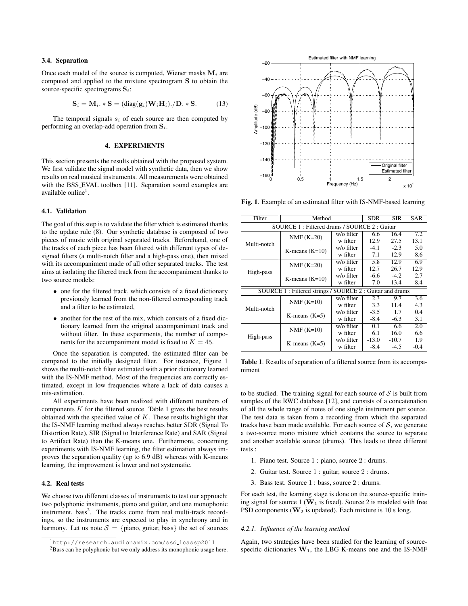### 3.4. Separation

Once each model of the source is computed, Wiener masks  $M_i$  are computed and applied to the mixture spectrogram S to obtain the source-specific spectrograms  $S_i$ :

$$
\mathbf{S}_i = \mathbf{M}_i \cdot * \mathbf{S} = (\text{diag}(\mathbf{g}_i) \mathbf{W}_i \mathbf{H}_i). / \mathbf{D}.* \mathbf{S}.
$$
 (13)

The temporal signals  $s_i$  of each source are then computed by performing an overlap-add operation from  $S_i$ .

# 4. EXPERIMENTS

This section presents the results obtained with the proposed system. We first validate the signal model with synthetic data, then we show results on real musical instruments. All measurements were obtained with the BSS\_EVAL toolbox [11]. Separation sound examples are available online<sup>1</sup>.

# 4.1. Validation

The goal of this step is to validate the filter which is estimated thanks to the update rule (8). Our synthetic database is composed of two pieces of music with original separated tracks. Beforehand, one of the tracks of each piece has been filtered with different types of designed filters (a multi-notch filter and a high-pass one), then mixed with its accompaniment made of all other separated tracks. The test aims at isolating the filtered track from the accompaniment thanks to two source models:

- one for the filtered track, which consists of a fixed dictionary previously learned from the non-filtered corresponding track and a filter to be estimated,
- another for the rest of the mix, which consists of a fixed dictionary learned from the original accompaniment track and without filter. In these experiments, the number of components for the accompaniment model is fixed to  $K = 45$ .

Once the separation is computed, the estimated filter can be compared to the initially designed filter. For instance, Figure 1 shows the multi-notch filter estimated with a prior dictionary learned with the IS-NMF method. Most of the frequencies are correctly estimated, except in low frequencies where a lack of data causes a mis-estimation.

All experiments have been realized with different numbers of components  $K$  for the filtered source. Table 1 gives the best results obtained with the specified value of  $K$ . These results highlight that the IS-NMF learning method always reaches better SDR (Signal To Distortion Rate), SIR (Signal to Interference Rate) and SAR (Signal to Artifact Rate) than the K-means one. Furthermore, concerning experiments with IS-NMF learning, the filter estimation always improves the separation quality (up to 6.9 dB) whereas with K-means learning, the improvement is lower and not systematic.

# 4.2. Real tests

We choose two different classes of instruments to test our approach: two polyphonic instruments, piano and guitar, and one monophonic instrument, bass<sup>2</sup>. The tracks come from real multi-track recordings, so the instruments are expected to play in synchrony and in harmony. Let us note  $S = \{\text{piano}, \text{guitar}, \text{bass}\}\$ the set of sources



Fig. 1. Example of an estimated filter with IS-NMF-based learning

| Filter                                                  | Method           |            | SDR     | SIR     | SAR    |
|---------------------------------------------------------|------------------|------------|---------|---------|--------|
| SOURCE 1: Filtered drums / SOURCE 2: Guitar             |                  |            |         |         |        |
| Multi-notch                                             | $NMF$ (K=20)     | w/o filter | 6.6     | 16.4    | 7.2    |
|                                                         |                  | w filter   | 12.9    | 27.5    | 13.1   |
|                                                         | K-means $(K=10)$ | w/o filter | $-4.1$  | $-2.3$  | 5.0    |
|                                                         |                  | w filter   | 7.1     | 12.9    | 8.6    |
| High-pass                                               | $NMF$ (K=20)     | w/o filter | 5.8     | 12.9    | 6.9    |
|                                                         |                  | w filter   | 12.7    | 26.7    | 12.9   |
|                                                         | K-means $(K=10)$ | w/o filter | $-6.6$  | $-4.2$  | 2.7    |
|                                                         |                  | w filter   | 7.0     | 13.4    | 8.4    |
| SOURCE 1: Filtered strings / SOURCE 2: Guitar and drums |                  |            |         |         |        |
| Multi-notch                                             | $NMF$ (K=10)     | w/o filter | 2.3     | 9.7     | 3.6    |
|                                                         |                  | w filter   | 3.3     | 11.4    | 4.3    |
|                                                         | K-means $(K=5)$  | w/o filter | $-3.5$  | 1.7     | 0.4    |
|                                                         |                  | w filter   | $-8.4$  | $-6.3$  | 3.1    |
| High-pass                                               | $NMF$ (K=10)     | w/o filter | 0.1     | 6.6     | 2.0    |
|                                                         |                  | w filter   | 6.1     | 16.0    | 6.6    |
|                                                         | K-means $(K=5)$  | w/o filter | $-13.0$ | $-10.7$ | 1.9    |
|                                                         |                  | w filter   | $-8.4$  | $-4.5$  | $-0.4$ |

Table 1. Results of separation of a filtered source from its accompaniment

to be studied. The training signal for each source of  $S$  is built from samples of the RWC database [12], and consists of a concatenation of all the whole range of notes of one single instrument per source. The test data is taken from a recording from which the separated tracks have been made available. For each source of  $S$ , we generate a two-source mono mixture which contains the source to separate and another available source (drums). This leads to three different tests :

- 1. Piano test. Source 1 : piano, source 2 : drums.
- 2. Guitar test. Source 1 : guitar, source 2 : drums.
- 3. Bass test. Source 1 : bass, source 2 : drums.

For each test, the learning stage is done on the source-specific training signal for source 1 ( $W_1$  is fixed). Source 2 is modeled with free PSD components ( $W_2$  is updated). Each mixture is 10 s long.

### *4.2.1. Influence of the learning method*

Again, two strategies have been studied for the learning of sourcespecific dictionaries  $W_1$ , the LBG K-means one and the IS-NMF

<sup>1</sup>http://research.audionamix.com/ssd icassp2011

<sup>&</sup>lt;sup>2</sup>Bass can be polyphonic but we only address its monophonic usage here.